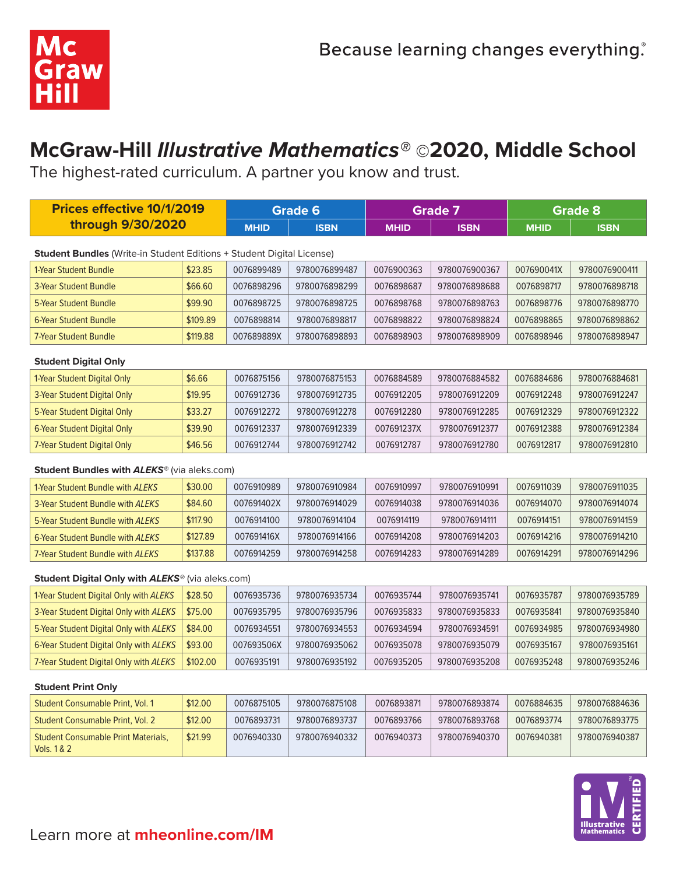

# **McGraw-Hill** *Illustrative Mathematics®* **©2020, Middle School**

The highest-rated curriculum. A partner you know and trust.

| <b>Prices effective 10/1/2019</b>                                     |          | <b>Grade 6</b> |               | <b>Grade 7</b> |               | <b>Grade 8</b> |               |  |  |
|-----------------------------------------------------------------------|----------|----------------|---------------|----------------|---------------|----------------|---------------|--|--|
| through 9/30/2020                                                     |          | <b>MHID</b>    | <b>ISBN</b>   | <b>MHID</b>    | <b>ISBN</b>   | <b>MHID</b>    | <b>ISBN</b>   |  |  |
| Student Bundles (Write-in Student Editions + Student Digital License) |          |                |               |                |               |                |               |  |  |
| 1-Year Student Bundle                                                 | \$23.85  | 0076899489     | 9780076899487 | 0076900363     | 9780076900367 | 007690041X     | 9780076900411 |  |  |
| 3-Year Student Bundle                                                 | \$66.60  | 0076898296     | 9780076898299 | 0076898687     | 9780076898688 | 0076898717     | 9780076898718 |  |  |
| <b>5-Year Student Bundle</b>                                          | \$99.90  | 0076898725     | 9780076898725 | 0076898768     | 9780076898763 | 0076898776     | 9780076898770 |  |  |
| <b>6-Year Student Bundle</b>                                          | \$109.89 | 0076898814     | 9780076898817 | 0076898822     | 9780076898824 | 0076898865     | 9780076898862 |  |  |
| <b>7-Year Student Bundle</b>                                          | \$119.88 | 007689889X     | 9780076898893 | 0076898903     | 9780076898909 | 0076898946     | 9780076898947 |  |  |
|                                                                       |          |                |               |                |               |                |               |  |  |
| <b>Student Digital Only</b>                                           |          |                |               |                |               |                |               |  |  |
| 1-Year Student Digital Only                                           | \$6.66   | 0076875156     | 9780076875153 | 0076884589     | 9780076884582 | 0076884686     | 9780076884681 |  |  |
| 3-Year Student Digital Only                                           | \$19.95  | 0076912736     | 9780076912735 | 0076912205     | 9780076912209 | 0076912248     | 9780076912247 |  |  |
| 5-Year Student Digital Only                                           | \$33.27  | 0076912272     | 9780076912278 | 0076912280     | 9780076912285 | 0076912329     | 9780076912322 |  |  |
| 6-Year Student Digital Only                                           | \$39.90  | 0076912337     | 9780076912339 | 007691237X     | 9780076912377 | 0076912388     | 9780076912384 |  |  |
| 7-Year Student Digital Only                                           | \$46.56  | 0076912744     | 9780076912742 | 0076912787     | 9780076912780 | 0076912817     | 9780076912810 |  |  |
| Student Bundles with ALEKS® (via aleks.com)                           |          |                |               |                |               |                |               |  |  |
| 1-Year Student Bundle with ALEKS                                      | \$30.00  | 0076910989     | 9780076910984 | 0076910997     | 9780076910991 | 0076911039     | 9780076911035 |  |  |
| 3-Year Student Bundle with ALEKS                                      | \$84.60  | 007691402X     | 9780076914029 | 0076914038     | 9780076914036 | 0076914070     | 9780076914074 |  |  |
| 5-Year Student Bundle with ALEKS                                      | \$117.90 | 0076914100     | 9780076914104 | 0076914119     | 9780076914111 | 0076914151     | 9780076914159 |  |  |
| 6-Year Student Bundle with ALEKS                                      | \$127.89 | 007691416X     | 9780076914166 | 0076914208     | 9780076914203 | 0076914216     | 9780076914210 |  |  |
| 7-Year Student Bundle with ALEKS                                      | \$137.88 | 0076914259     | 9780076914258 | 0076914283     | 9780076914289 | 0076914291     | 9780076914296 |  |  |
| Student Digital Only with ALEKS® (via aleks.com)                      |          |                |               |                |               |                |               |  |  |
| 1-Year Student Digital Only with ALEKS                                | \$28.50  | 0076935736     | 9780076935734 | 0076935744     | 9780076935741 | 0076935787     | 9780076935789 |  |  |
| 3-Year Student Digital Only with ALEKS                                | \$75.00  | 0076935795     | 9780076935796 | 0076935833     | 9780076935833 | 0076935841     | 9780076935840 |  |  |
| 5-Year Student Digital Only with ALEKS                                | \$84.00  | 0076934551     | 9780076934553 | 0076934594     | 9780076934591 | 0076934985     | 9780076934980 |  |  |
| 6-Year Student Digital Only with ALEKS                                | \$93.00  | 007693506X     | 9780076935062 | 0076935078     | 9780076935079 | 0076935167     | 9780076935161 |  |  |
| 7-Year Student Digital Only with ALEKS                                | \$102.00 | 0076935191     | 9780076935192 | 0076935205     | 9780076935208 | 0076935248     | 9780076935246 |  |  |
| <b>Student Print Only</b>                                             |          |                |               |                |               |                |               |  |  |

| Student Consumable Print, Vol. 1                          | \$12.00 | 0076875105 | 9780076875108 | 0076893871 | 9780076893874 | 0076884635 | 9780076884636 |
|-----------------------------------------------------------|---------|------------|---------------|------------|---------------|------------|---------------|
| Student Consumable Print, Vol. 2                          | \$12.00 | 0076893731 | 9780076893737 | 0076893766 | 9780076893768 | 0076893774 | 9780076893775 |
| <b>Student Consumable Print Materials.</b><br>Vols. 1 & 2 | \$21.99 | 0076940330 | 9780076940332 | 0076940373 | 9780076940370 | 0076940381 | 9780076940387 |